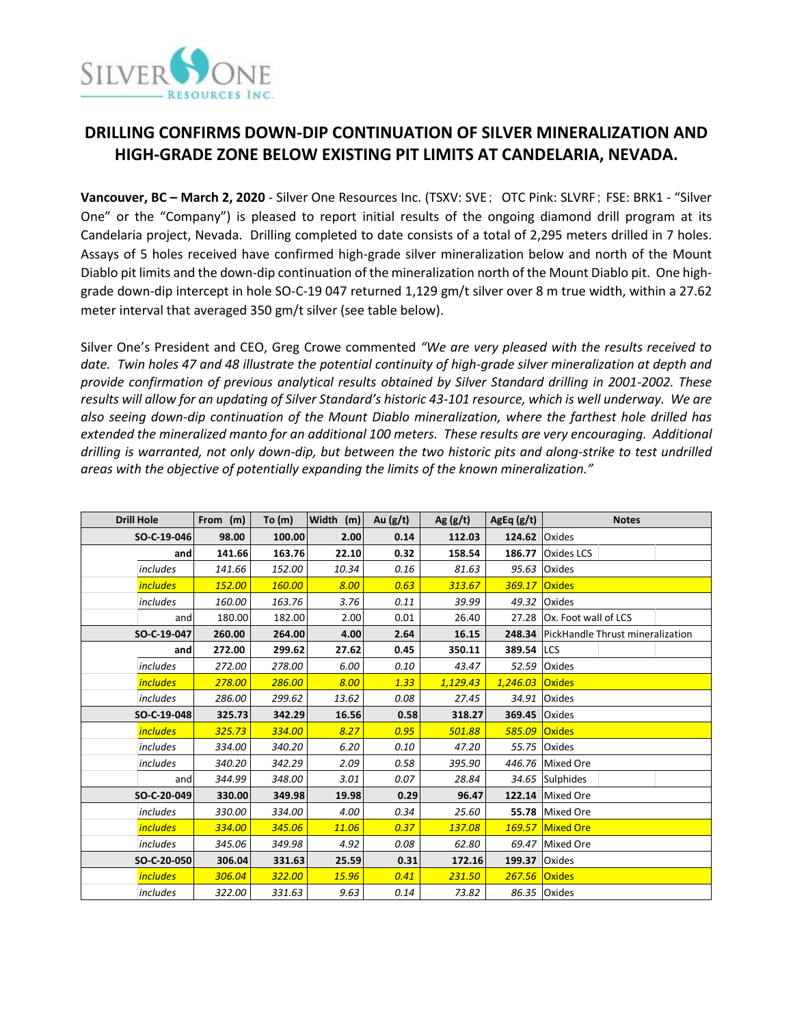

# **DRILLING CONFIRMS DOWN-DIP CONTINUATION OF SILVER MINERALIZATION AND HIGH-GRADE ZONE BELOW EXISTING PIT LIMITS AT CANDELARIA, NEVADA.**

**Vancouver, BC – March 2, 2020** - Silver One Resources Inc. (TSXV: SVE; OTC Pink: SLVRF; FSE: BRK1 - "Silver One" or the "Company") is pleased to report initial results of the ongoing diamond drill program at its Candelaria project, Nevada. Drilling completed to date consists of a total of 2,295 meters drilled in 7 holes. Assays of 5 holes received have confirmed high-grade silver mineralization below and north of the Mount Diablo pit limits and the down-dip continuation of the mineralization north of the Mount Diablo pit. One highgrade down-dip intercept in hole SO-C-19 047 returned 1,129 gm/t silver over 8 m true width, within a 27.62 meter interval that averaged 350 gm/t silver (see table below).

Silver One's President and CEO, Greg Crowe commented *"We are very pleased with the results received to date. Twin holes 47 and 48 illustrate the potential continuity of high-grade silver mineralization at depth and provide confirmation of previous analytical results obtained by Silver Standard drilling in 2001-2002. These results will allow for an updating of Silver Standard's historic 43-101 resource, which is well underway. We are also seeing down-dip continuation of the Mount Diablo mineralization, where the farthest hole drilled has extended the mineralized manto for an additional 100 meters. These results are very encouraging. Additional drilling is warranted, not only down-dip, but between the two historic pits and along-strike to test undrilled areas with the objective of potentially expanding the limits of the known mineralization."* 

| <b>Drill Hole</b> |                 | From (m) | To $(m)$ | Width (m) | Au $(g/t)$ | Ag(g/t)  | AgEq(g/t)            | <b>Notes</b>                            |  |  |
|-------------------|-----------------|----------|----------|-----------|------------|----------|----------------------|-----------------------------------------|--|--|
| SO-C-19-046       |                 | 98.00    | 100.00   | 2.00      | 0.14       | 112.03   | <b>124.62 Oxides</b> |                                         |  |  |
|                   | and             | 141.66   | 163.76   | 22.10     | 0.32       | 158.54   | 186.77               | <b>Oxides LCS</b>                       |  |  |
|                   | <i>includes</i> | 141.66   | 152.00   | 10.34     | 0.16       | 81.63    | 95.63                | Oxides                                  |  |  |
|                   | <i>includes</i> | 152.00   | 160.00   | 8.00      | 0.63       | 313.67   | 369.17               | <b>Oxides</b>                           |  |  |
|                   | includes        | 160.00   | 163.76   | 3.76      | 0.11       | 39.99    | 49.32                | <b>Oxides</b>                           |  |  |
|                   | and             | 180.00   | 182.00   | 2.00      | 0.01       | 26.40    | 27.28                | Ox. Foot wall of LCS                    |  |  |
| SO-C-19-047       |                 | 260.00   | 264.00   | 4.00      | 2.64       | 16.15    | 248.34               | <b>PickHandle Thrust mineralization</b> |  |  |
|                   | and             | 272.00   | 299.62   | 27.62     | 0.45       | 350.11   | 389.54 LCS           |                                         |  |  |
|                   | <i>includes</i> | 272.00   | 278.00   | 6.00      | 0.10       | 43.47    | 52.59                | <b>Oxides</b>                           |  |  |
|                   | <i>includes</i> | 278.00   | 286.00   | 8.00      | 1.33       | 1,129.43 | 1,246.03             | Oxides                                  |  |  |
|                   | includes        | 286.00   | 299.62   | 13.62     | 0.08       | 27.45    | 34.91                | <b>Oxides</b>                           |  |  |
|                   | SO-C-19-048     | 325.73   | 342.29   | 16.56     | 0.58       | 318.27   | 369.45               | <b>Oxides</b>                           |  |  |
|                   | <i>includes</i> | 325.73   | 334.00   | 8.27      | 0.95       | 501.88   | 585.09               | <b>Oxides</b>                           |  |  |
|                   | includes        | 334.00   | 340.20   | 6.20      | 0.10       | 47.20    | 55.75                | Oxides                                  |  |  |
|                   | includes        | 340.20   | 342.29   | 2.09      | 0.58       | 395.90   | 446.76               | Mixed Ore                               |  |  |
|                   | and             | 344.99   | 348.00   | 3.01      | 0.07       | 28.84    |                      | 34.65 Sulphides                         |  |  |
|                   | SO-C-20-049     | 330.00   | 349.98   | 19.98     | 0.29       | 96.47    |                      | 122.14 Mixed Ore                        |  |  |
|                   | includes        | 330.00   | 334.00   | 4.00      | 0.34       | 25.60    | 55.78                | Mixed Ore                               |  |  |
|                   | <i>includes</i> | 334.00   | 345.06   | 11.06     | 0.37       | 137.08   |                      | 169.57 Mixed Ore                        |  |  |
|                   | <i>includes</i> | 345.06   | 349.98   | 4.92      | 0.08       | 62.80    | 69.47                | Mixed Ore                               |  |  |
| SO-C-20-050       |                 | 306.04   | 331.63   | 25.59     | 0.31       | 172.16   | 199.37               | <b>Oxides</b>                           |  |  |
|                   | <i>includes</i> | 306.04   | 322.00   | 15.96     | 0.41       | 231.50   | 267.56               | <b>Oxides</b>                           |  |  |
|                   | includes        | 322.00   | 331.63   | 9.63      | 0.14       | 73.82    |                      | 86.35 Oxides                            |  |  |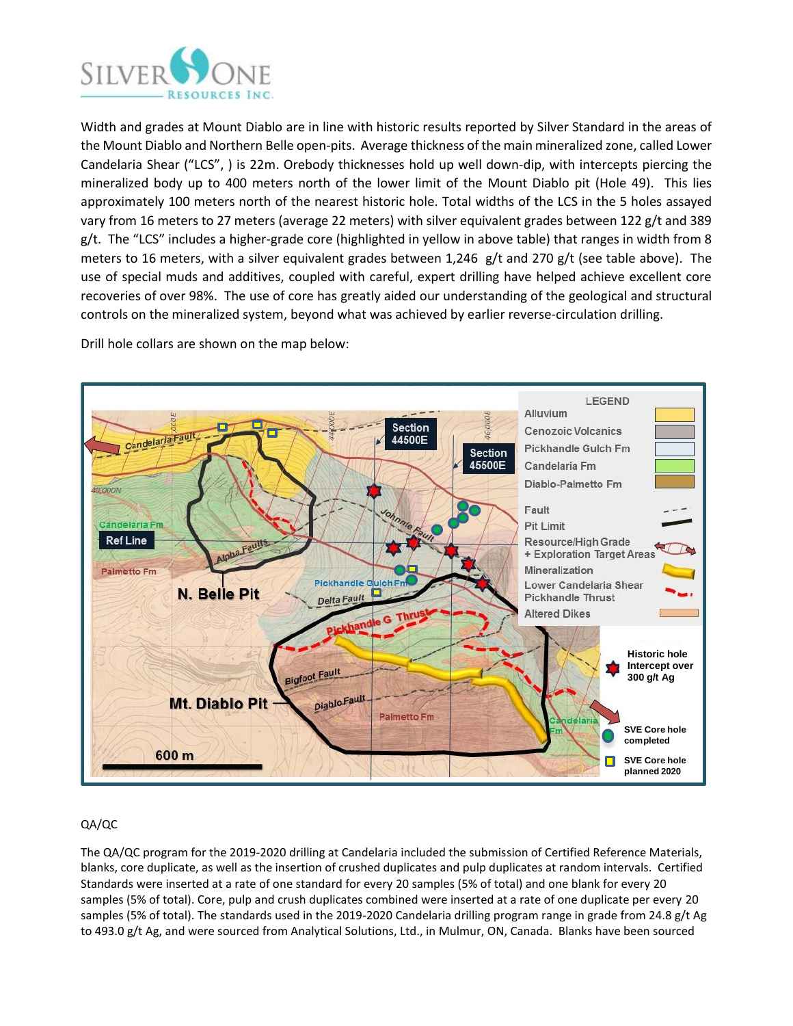

Width and grades at Mount Diablo are in line with historic results reported by Silver Standard in the areas of the Mount Diablo and Northern Belle open-pits. Average thickness of the main mineralized zone, called Lower Candelaria Shear ("LCS", ) is 22m. Orebody thicknesses hold up well down-dip, with intercepts piercing the mineralized body up to 400 meters north of the lower limit of the Mount Diablo pit (Hole 49). This lies approximately 100 meters north of the nearest historic hole. Total widths of the LCS in the 5 holes assayed vary from 16 meters to 27 meters (average 22 meters) with silver equivalent grades between 122 g/t and 389 g/t. The "LCS" includes a higher-grade core (highlighted in yellow in above table) that ranges in width from 8 meters to 16 meters, with a silver equivalent grades between 1,246 g/t and 270 g/t (see table above). The use of special muds and additives, coupled with careful, expert drilling have helped achieve excellent core recoveries of over 98%. The use of core has greatly aided our understanding of the geological and structural controls on the mineralized system, beyond what was achieved by earlier reverse-circulation drilling.



Drill hole collars are shown on the map below:

# QA/QC

The QA/QC program for the 2019-2020 drilling at Candelaria included the submission of Certified Reference Materials, blanks, core duplicate, as well as the insertion of crushed duplicates and pulp duplicates at random intervals. Certified Standards were inserted at a rate of one standard for every 20 samples (5% of total) and one blank for every 20 samples (5% of total). Core, pulp and crush duplicates combined were inserted at a rate of one duplicate per every 20 samples (5% of total). The standards used in the 2019-2020 Candelaria drilling program range in grade from 24.8 g/t Ag to 493.0 g/t Ag, and were sourced from Analytical Solutions, Ltd., in Mulmur, ON, Canada. Blanks have been sourced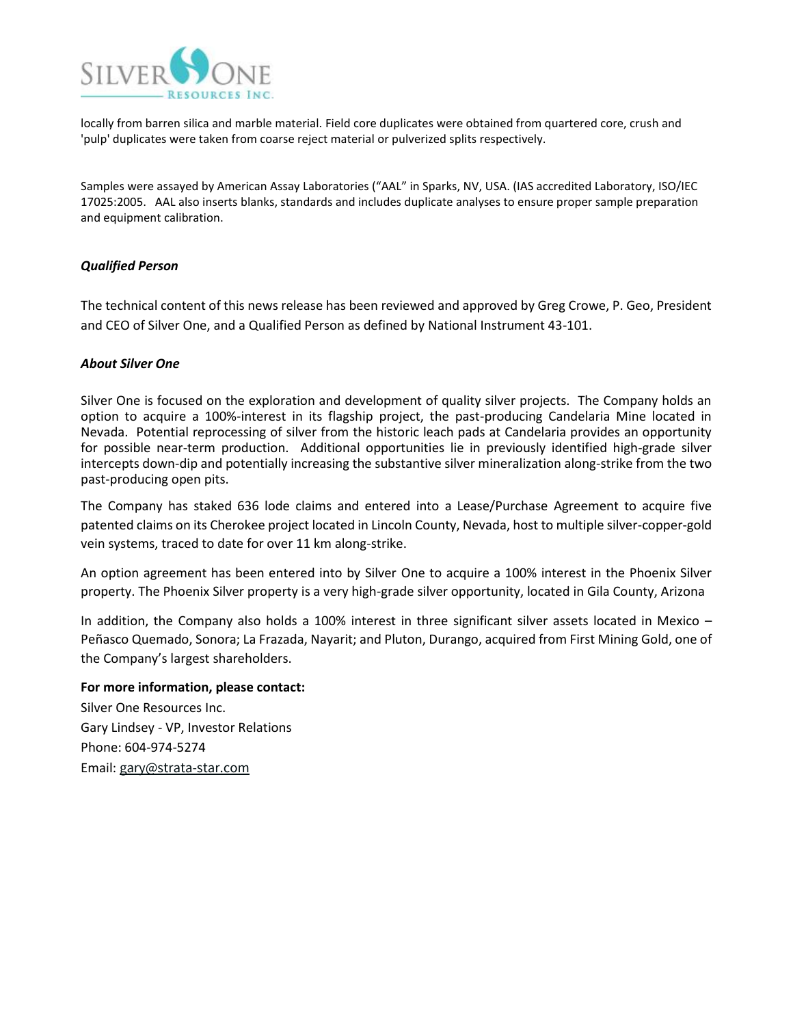

locally from barren silica and marble material. Field core duplicates were obtained from quartered core, crush and 'pulp' duplicates were taken from coarse reject material or pulverized splits respectively.

Samples were assayed by American Assay Laboratories ("AAL" in Sparks, NV, USA. (IAS accredited Laboratory, ISO/IEC 17025:2005. AAL also inserts blanks, standards and includes duplicate analyses to ensure proper sample preparation and equipment calibration.

## *Qualified Person*

The technical content of this news release has been reviewed and approved by Greg Crowe, P. Geo, President and CEO of Silver One, and a Qualified Person as defined by National Instrument 43-101.

## *About Silver One*

Silver One is focused on the exploration and development of quality silver projects. The Company holds an option to acquire a 100%-interest in its flagship project, the past-producing Candelaria Mine located in Nevada. Potential reprocessing of silver from the historic leach pads at Candelaria provides an opportunity for possible near-term production. Additional opportunities lie in previously identified high-grade silver intercepts down-dip and potentially increasing the substantive silver mineralization along-strike from the two past-producing open pits.

The Company has staked 636 lode claims and entered into a Lease/Purchase Agreement to acquire five patented claims on its Cherokee project located in Lincoln County, Nevada, host to multiple silver-copper-gold vein systems, traced to date for over 11 km along-strike.

An option agreement has been entered into by Silver One to acquire a 100% interest in the Phoenix Silver property. The Phoenix Silver property is a very high-grade silver opportunity, located in Gila County, Arizona

In addition, the Company also holds a 100% interest in three significant silver assets located in Mexico – Peñasco Quemado, Sonora; La Frazada, Nayarit; and Pluton, Durango, acquired from First Mining Gold, one of the Company's largest shareholders.

### **For more information, please contact:**

Silver One Resources Inc. Gary Lindsey - VP, Investor Relations Phone: 604-974‐5274 Email: [gary@strata-star.com](mailto:gary@strata-star.com)